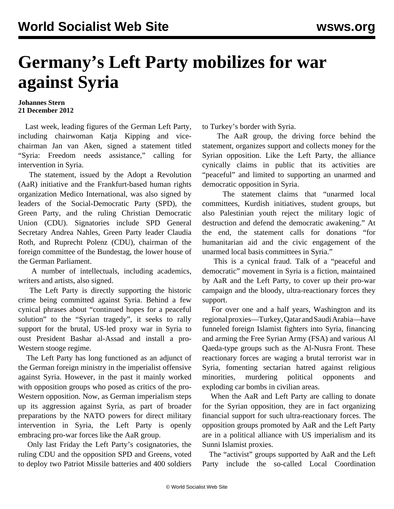## **Germany's Left Party mobilizes for war against Syria**

## **Johannes Stern 21 December 2012**

 Last week, leading figures of the German Left Party, including chairwoman Katja Kipping and vicechairman Jan van Aken, signed a statement titled "Syria: Freedom needs assistance," calling for intervention in Syria.

 The statement, issued by the Adopt a Revolution (AaR) initiative and the Frankfurt-based human rights organization Medico International, was also signed by leaders of the Social-Democratic Party (SPD), the Green Party, and the ruling Christian Democratic Union (CDU). Signatories include SPD General Secretary Andrea Nahles, Green Party leader Claudia Roth, and Ruprecht Polenz (CDU), chairman of the foreign committee of the Bundestag, the lower house of the German Parliament.

 A number of intellectuals, including academics, writers and artists, also signed.

 The Left Party is directly supporting the historic crime being committed against Syria. Behind a few cynical phrases about "continued hopes for a peaceful solution" to the "Syrian tragedy", it seeks to rally support for the brutal, US-led proxy war in Syria to oust President Bashar al-Assad and install a pro-Western stooge regime.

 The Left Party has long functioned as an adjunct of the German foreign ministry in the imperialist offensive against Syria. However, in the past it mainly worked with opposition groups who posed as critics of the pro-Western opposition. Now, as German imperialism steps up its aggression against Syria, as part of broader preparations by the NATO powers for direct military intervention in Syria, the Left Party is openly embracing pro-war forces like the AaR group.

 Only last Friday the Left Party's cosignatories, the ruling CDU and the opposition SPD and Greens, voted to deploy two Patriot Missile batteries and 400 soldiers to Turkey's border with Syria.

 The AaR group, the driving force behind the statement, organizes support and collects money for the Syrian opposition. Like the Left Party, the alliance cynically claims in public that its activities are "peaceful" and limited to supporting an unarmed and democratic opposition in Syria.

 The statement claims that "unarmed local committees, Kurdish initiatives, student groups, but also Palestinian youth reject the military logic of destruction and defend the democratic awakening." At the end, the statement calls for donations "for humanitarian aid and the civic engagement of the unarmed local basis committees in Syria."

 This is a cynical fraud. Talk of a "peaceful and democratic" movement in Syria is a fiction, maintained by AaR and the Left Party, to cover up their pro-war campaign and the bloody, ultra-reactionary forces they support.

 For over one and a half years, Washington and its regional proxies—Turkey, Qatar and Saudi Arabia—have funneled foreign Islamist fighters into Syria, financing and arming the Free Syrian Army (FSA) and various Al Qaeda-type groups such as the Al-Nusra Front. These reactionary forces are waging a brutal terrorist war in Syria, fomenting sectarian hatred against religious minorities, murdering political opponents and exploding car bombs in civilian areas.

 When the AaR and Left Party are calling to donate for the Syrian opposition, they are in fact organizing financial support for such ultra-reactionary forces. The opposition groups promoted by AaR and the Left Party are in a political alliance with US imperialism and its Sunni Islamist proxies.

 The "activist" groups supported by AaR and the Left Party include the so-called Local Coordination